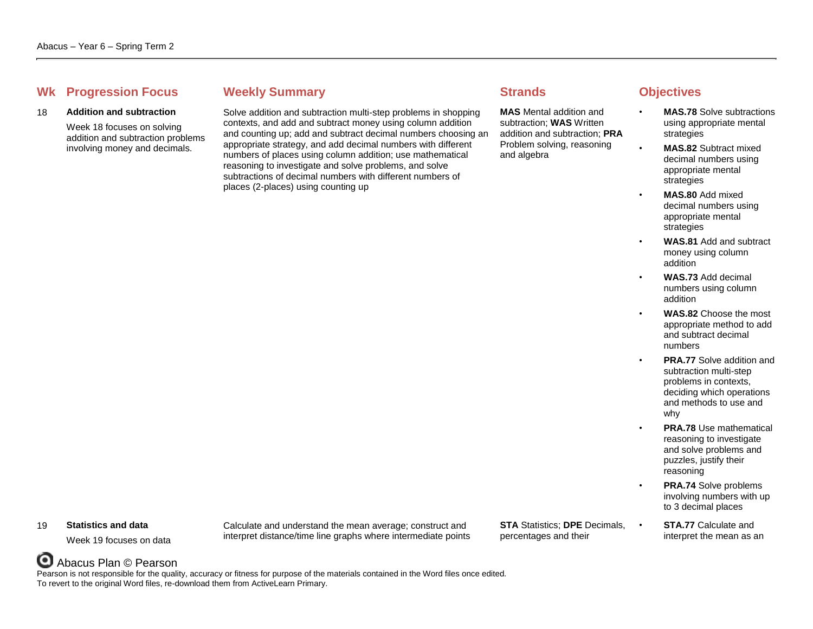## **Whene Weekly Summary Strands Objectives Objectives**

### 18 **Addition and subtraction**

Week 18 focuses on solving addition and subtraction problems involving money and decimals.

Solve addition and subtraction multi-step problems in shopping contexts, and add and subtract money using column addition and counting up; add and subtract decimal numbers choosing an appropriate strategy, and add decimal numbers with different numbers of places using column addition; use mathematical reasoning to investigate and solve problems, and solve subtractions of decimal numbers with different numbers of places (2-places) using counting up

**MAS** Mental addition and subtraction; **WAS** Written addition and subtraction; **PRA** Problem solving, reasoning and algebra

- **MAS.78** Solve subtractions using appropriate mental strategies
- **MAS.82** Subtract mixed decimal numbers using appropriate mental strategies
- **MAS.80** Add mixed decimal numbers using appropriate mental strategies
- **WAS.81** Add and subtract money using column addition
- **WAS.73** Add decimal numbers using column addition
- **WAS.82** Choose the most appropriate method to add and subtract decimal numbers
- **PRA.77** Solve addition and subtraction multi-step problems in contexts, deciding which operations and methods to use and why
- **PRA.78** Use mathematical reasoning to investigate and solve problems and puzzles, justify their reasoning
- **PRA.74 Solve problems** involving numbers with up to 3 decimal places
- **STA.77** Calculate and interpret the mean as an

### 19 **Statistics and data**

Week 19 focuses on data

Calculate and understand the mean average; construct and interpret distance/time line graphs where intermediate points **STA** Statistics; **DPE** Decimals, percentages and their

## Abacus Plan © Pearson

Pearson is not responsible for the quality, accuracy or fitness for purpose of the materials contained in the Word files once edited. To revert to the original Word files, re-download them from ActiveLearn Primary.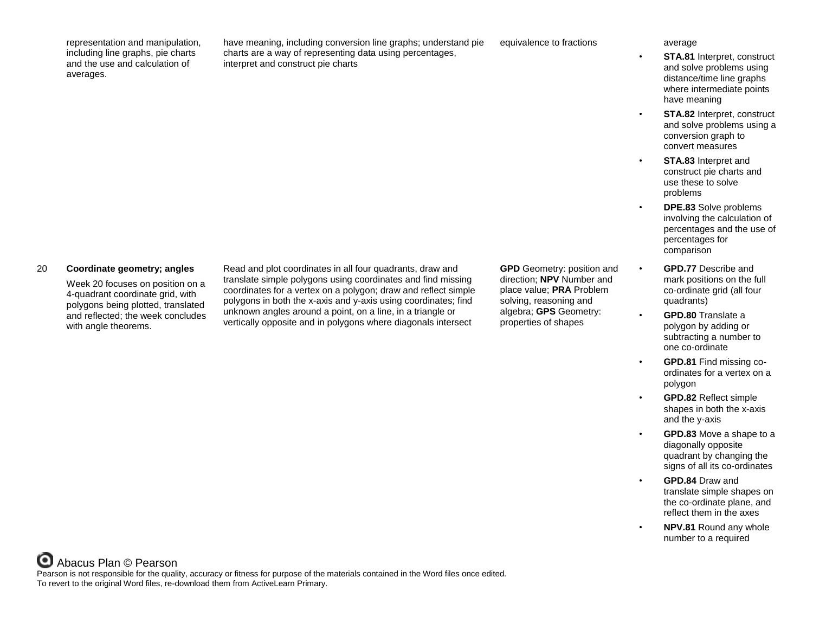representation and manipulation, including line graphs, pie charts and the use and calculation of averages.

have meaning, including conversion line graphs; understand pie charts are a way of representing data using percentages, interpret and construct pie charts

equivalence to fractions average

- **STA.81** Interpret, construct and solve problems using distance/time line graphs where intermediate points have meaning
- **STA.82** Interpret, construct and solve problems using a conversion graph to convert measures
- **STA.83** Interpret and construct pie charts and use these to solve problems
	- **DPE.83** Solve problems involving the calculation of percentages and the use of percentages for comparison
- **GPD.77** Describe and mark positions on the full co-ordinate grid (all four quadrants)
- **GPD.80** Translate a polygon by adding or subtracting a number to one co-ordinate
- **GPD.81** Find missing coordinates for a vertex on a polygon
- **GPD.82** Reflect simple shapes in both the x-axis and the y-axis
- **GPD.83** Move a shape to a diagonally opposite quadrant by changing the signs of all its co-ordinates
- **GPD.84** Draw and translate simple shapes on the co-ordinate plane, and reflect them in the axes
- **NPV.81** Round any whole number to a required

### 20 **Coordinate geometry; angles**

Week 20 focuses on position on a 4-quadrant coordinate grid, with polygons being plotted, translated and reflected; the week concludes with angle theorems.

Read and plot coordinates in all four quadrants, draw and translate simple polygons using coordinates and find missing coordinates for a vertex on a polygon; draw and reflect simple polygons in both the x-axis and y-axis using coordinates; find unknown angles around a point, on a line, in a triangle or vertically opposite and in polygons where diagonals intersect

**GPD** Geometry: position and direction; **NPV** Number and place value; **PRA** Problem solving, reasoning and algebra; **GPS** Geometry: properties of shapes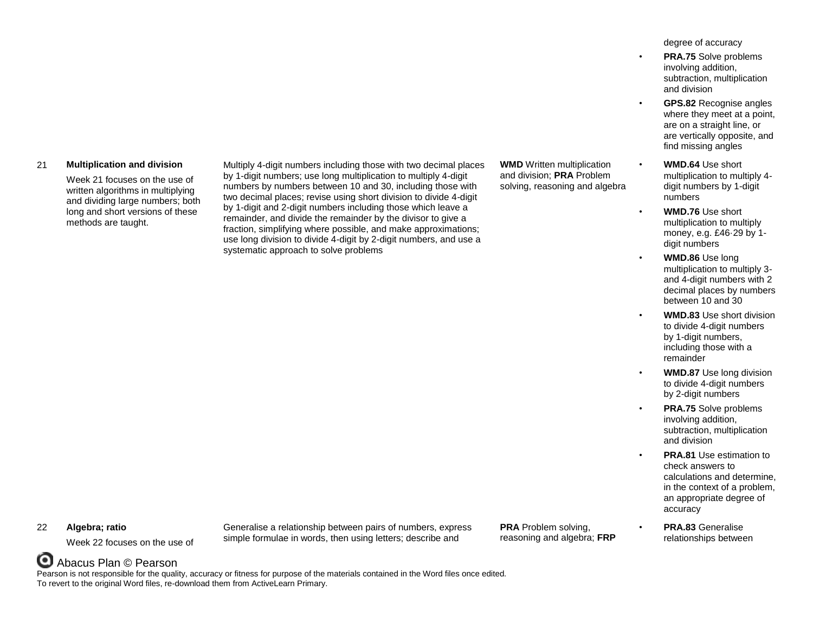### 21 **Multiplication and division**

Week 21 focuses on the use of written algorithms in multiplying and dividing large numbers; both long and short versions of these methods are taught.

Multiply 4-digit numbers including those with two decimal places by 1-digit numbers; use long multiplication to multiply 4-digit numbers by numbers between 10 and 30, including those with two decimal places; revise using short division to divide 4-digit by 1-digit and 2-digit numbers including those which leave a remainder, and divide the remainder by the divisor to give a fraction, simplifying where possible, and make approximations; use long division to divide 4-digit by 2-digit numbers, and use a systematic approach to solve problems

**WMD** Written multiplication and division; **PRA** Problem solving, reasoning and algebra degree of accuracy

- **PRA.75** Solve problems involving addition, subtraction, multiplication and division
	- **GPS.82** Recognise angles where they meet at a point, are on a straight line, or are vertically opposite, and find missing angles
- **WMD.64** Use short multiplication to multiply 4 digit numbers by 1-digit numbers
- **WMD.76** Use short multiplication to multiply money, e.g. £46·29 by 1 digit numbers
- **WMD.86** Use long multiplication to multiply 3 and 4-digit numbers with 2 decimal places by numbers between 10 and 30
- **WMD.83** Use short division to divide 4-digit numbers by 1-digit numbers, including those with a remainder
- **WMD.87** Use long division to divide 4-digit numbers by 2-digit numbers
- **PRA.75** Solve problems involving addition, subtraction, multiplication and division
- **PRA.81** Use estimation to check answers to calculations and determine, in the context of a problem, an appropriate degree of accuracy
- **PRA.83** Generalise relationships between

### 22 **Algebra; ratio**

Week 22 focuses on the use of

Generalise a relationship between pairs of numbers, express simple formulae in words, then using letters; describe and

**PRA** Problem solving, reasoning and algebra; **FRP**

# Abacus Plan © Pearson

Pearson is not responsible for the quality, accuracy or fitness for purpose of the materials contained in the Word files once edited. To revert to the original Word files, re-download them from ActiveLearn Primary.